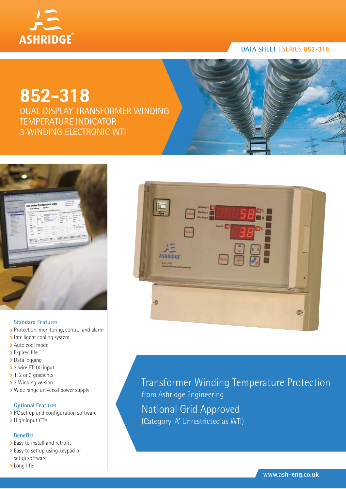

# **DATA SHEET | SERIES 852-318**

# **852-318**

DUAL DISPLAY TRANSFORMER WINDING TEMPERATURE INDICATOR 3 WINDING ELECTRONIC WTI



### **Standard Features**

- Protection, monitoring, control and alarm
- Intelligent cooling system
- Auto cool mode
- **Expired life**
- > Data logging
- ▶ 3 wire PT100 input
- ▶ 1, 2 or 3 gradients
- **3** Winding version
- Wide range universal power supply

# **Optional Features**

- PC set up and configuration software
- > High input CT's

# **Benefits**

- Easy to install and retrofit
- Easy to set up using keypad or setup software
- **>** Long life



Transformer Winding Temperature Protection from Ashridge Engineering National Grid Approved (Category 'A' Unrestricted as WTI)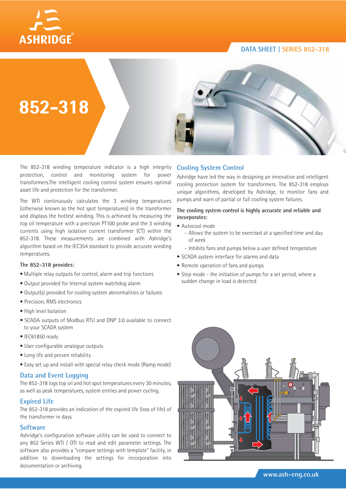# **DATA SHEET | SERIES 852-318**





The 852-318 winding temperature indicator is a high integrity protection, control and monitoring system for power transformers.The intelligent cooling control system ensures optimal asset life and protection for the transformer.

The WTI continuously calculates the 3 winding temperatures (otherwise known as the hot spot temperatures) in the transformer and displays the hottest winding. This is achieved by measuring the top oil temperature with a precision PT100 probe and the 3 winding currents using high isolation current transformer (CT) within the 852-318. These measurements are combined with Ashridge's algorithm based on the IEC354 standard to provide accurate winding temperatures.

#### **The 852-318 provides:**

- Multiple relay outputs for control, alarm and trip functions
- Output provided for Internal system watchdog alarm
- Output(s) provided for cooling system abnormalities or failures
- Precision, RMS electronics
- High level Isolation
- SCADA outputs of Modbus RTU and DNP 3.0 available to connect to your SCADA system
- IEC61850 ready
- User configurable analogue outputs
- Long life and proven reliability
- Easy set up and install with special relay check mode (Ramp mode)

### **Data and Event Logging**

The 852-318 logs top oil and hot spot temperatures every 30 minutes, as well as peak temperatures, system entries and power cycling.

### **Expired Life**

The 852-318 provides an indication of the expired life (loss of life) of the transformer in days.

### **Software**

Ashridge's configuration software utility can be used to connect to any 852 Series WTI / OTI to read and edit parameter settings. The software also provides a "compare settings with template" facility, in addition to downloading the settings for incorporation into documentation or archiving.

# **Cooling System Control**

Ashridge have led the way in designing an innovative and intelligent cooling protection system for transformers. The 852-318 employs unique algorithms, developed by Ashridge, to monitor fans and pumps and warn of partial or full cooling system failures.

### **The cooling system control is highly accurate and reliable and incorporates:**

- Autocool mode
	- Allows the system to be exercised at a specified time and day of week
	- Inhibits fans and pumps below a user defined temperature
- SCADA system interface for alarms and data
- Remote operation of fans and pumps
- Step mode the initiation of pumps for a set period, where a sudden change in load is detected

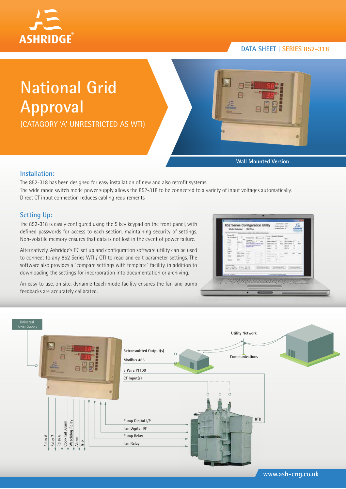

# **DATA SHEET | SERIES 852-318**

# **National Grid Approval**

(CATAGORY 'A' UNRESTRICTED AS WTI)



**Wall Mounted Version**

## **Installation:**

The 852-318 has been designed for easy installation of new and also retrofit systems. The wide range switch mode power supply allows the 852-318 to be connected to a variety of input voltages automatically. Direct CT input connection reduces cabling requirements.

# **Setting Up:**

The 852-318 is easily configured using the 5 key keypad on the front panel, with defined passwords for access to each section, maintaining security of settings. Non-volatile memory ensures that data is not lost in the event of power failure.

Alternatively, Ashridge's PC set up and configuration software utility can be used to connect to any 852 Series WTI / OTI to read and edit parameter settings. The software also provides a "compare settings with template" facility, in addition to downloading the settings for incorporation into documentation or archiving.

An easy to use, on site, dynamic teach mode facility ensures the fan and pump feedbacks are accurately calibrated.

| las of the last<br><b>Fascing Clubs</b><br>Trac<br><b>Trian Fair</b><br>mist.<br><b>Monda Print</b><br>anja (Tangalu (UK) Tangkat<br>Salah diangkat salah sa<br>lith 1<br><b>Moderation</b><br>÷<br><b>COLLE</b><br><b>Haraki</b><br>$\sim$ | <b>THEY SHOULD BARN</b><br>sear -<br>With linear or<br><b>INGES</b><br><b>GENET</b><br><br>u<br><br><b>START</b><br>1.44<br><b>Started</b><br>an i<br><b>Britain TV</b><br><b>STALE</b><br>-<br><b>TIME</b><br>×<br><b>STATISTICS</b><br>œ<br>m |
|---------------------------------------------------------------------------------------------------------------------------------------------------------------------------------------------------------------------------------------------|-------------------------------------------------------------------------------------------------------------------------------------------------------------------------------------------------------------------------------------------------|
| <b>Britain and Edit</b><br><b>MONTH ASSESS</b>                                                                                                                                                                                              | <b>CONTRACTOR</b><br><b>Seattle All State</b><br>C. L. Garden Little<br><b>CONTRACTOR</b><br>A complete promptable at a                                                                                                                         |



**www.ash-eng.co.uk**